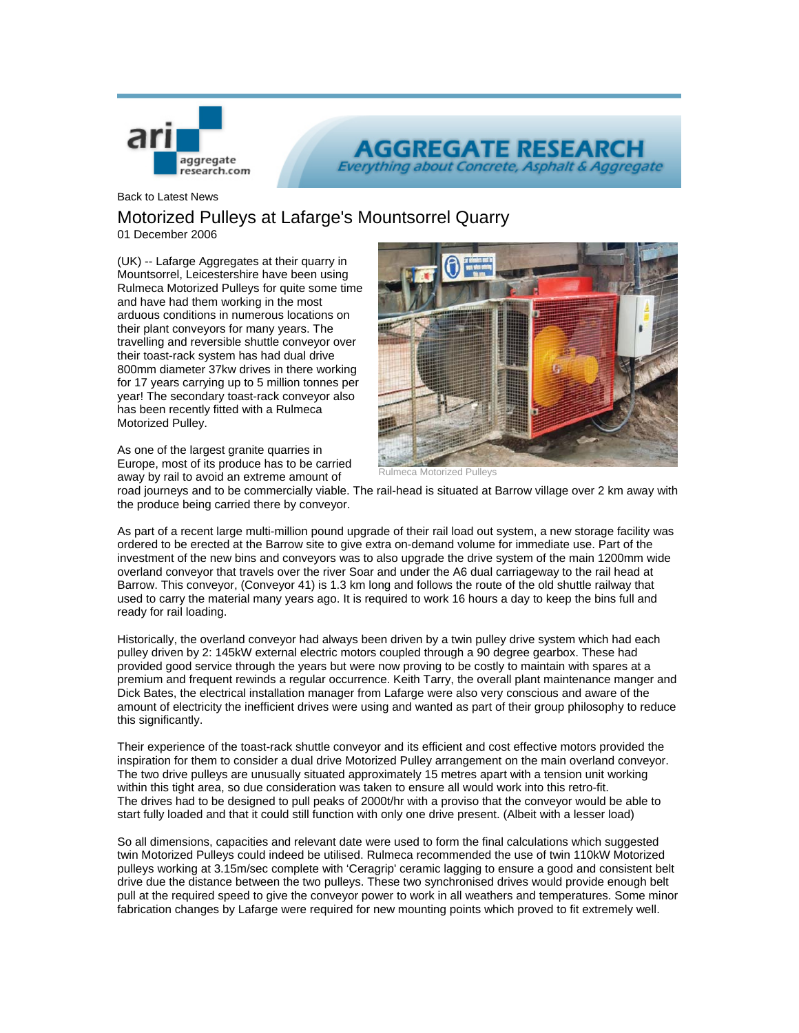

**AGGREGATE RESEAR Everything about Concrete, Asphalt & Aggregate** 

Back to Latest News

## Motorized Pulleys at Lafarge's Mountsorrel Quarry

01 December 2006

(UK) -- Lafarge Aggregates at their quarry in Mountsorrel, Leicestershire have been using Rulmeca Motorized Pulleys for quite some time and have had them working in the most arduous conditions in numerous locations on their plant conveyors for many years. The travelling and reversible shuttle conveyor over their toast-rack system has had dual drive 800mm diameter 37kw drives in there working for 17 years carrying up to 5 million tonnes per year! The secondary toast-rack conveyor also has been recently fitted with a Rulmeca Motorized Pulley.



As one of the largest granite quarries in Europe, most of its produce has to be carried away by rail to avoid an extreme amount of

Motorized

road journeys and to be commercially viable. The rail-head is situated at Barrow village over 2 km away with the produce being carried there by conveyor.

As part of a recent large multi-million pound upgrade of their rail load out system, a new storage facility was ordered to be erected at the Barrow site to give extra on-demand volume for immediate use. Part of the investment of the new bins and conveyors was to also upgrade the drive system of the main 1200mm wide overland conveyor that travels over the river Soar and under the A6 dual carriageway to the rail head at Barrow. This conveyor, (Conveyor 41) is 1.3 km long and follows the route of the old shuttle railway that used to carry the material many years ago. It is required to work 16 hours a day to keep the bins full and ready for rail loading.

Historically, the overland conveyor had always been driven by a twin pulley drive system which had each pulley driven by 2: 145kW external electric motors coupled through a 90 degree gearbox. These had provided good service through the years but were now proving to be costly to maintain with spares at a premium and frequent rewinds a regular occurrence. Keith Tarry, the overall plant maintenance manger and Dick Bates, the electrical installation manager from Lafarge were also very conscious and aware of the amount of electricity the inefficient drives were using and wanted as part of their group philosophy to reduce this significantly.

Their experience of the toast-rack shuttle conveyor and its efficient and cost effective motors provided the inspiration for them to consider a dual drive Motorized Pulley arrangement on the main overland conveyor. The two drive pulleys are unusually situated approximately 15 metres apart with a tension unit working within this tight area, so due consideration was taken to ensure all would work into this retro-fit. The drives had to be designed to pull peaks of 2000t/hr with a proviso that the conveyor would be able to start fully loaded and that it could still function with only one drive present. (Albeit with a lesser load)

So all dimensions, capacities and relevant date were used to form the final calculations which suggested twin Motorized Pulleys could indeed be utilised. Rulmeca recommended the use of twin 110kW Motorized pulleys working at 3.15m/sec complete with 'Ceragrip' ceramic lagging to ensure a good and consistent belt drive due the distance between the two pulleys. These two synchronised drives would provide enough belt pull at the required speed to give the conveyor power to work in all weathers and temperatures. Some minor fabrication changes by Lafarge were required for new mounting points which proved to fit extremely well.